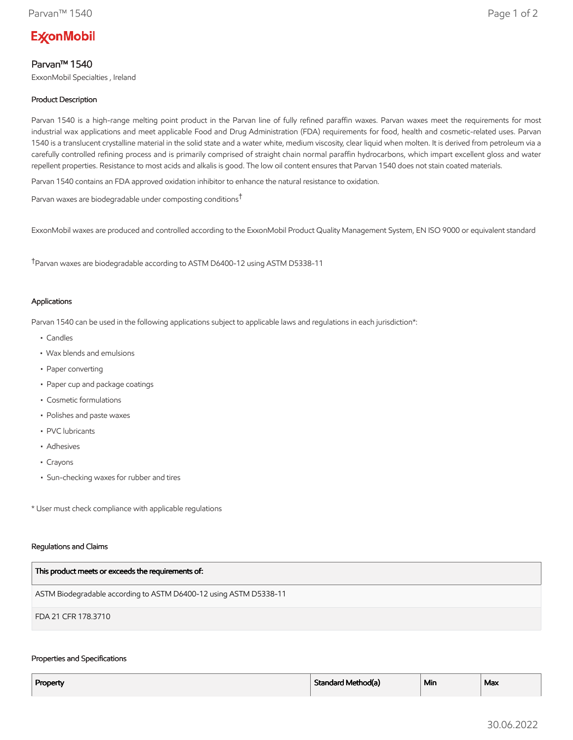# **ExconMobil**

## Parvan™ 1540

ExxonMobil Specialties , Ireland

## Product Description

Parvan 1540 is a high-range melting point product in the Parvan line of fully refined paraffin waxes. Parvan waxes meet the requirements for most industrial wax applications and meet applicable Food and Drug Administration (FDA) requirements for food, health and cosmetic-related uses. Parvan 1540 is a translucent crystalline material in the solid state and a water white, medium viscosity, clear liquid when molten. It is derived from petroleum via a carefully controlled refining process and is primarily comprised of straight chain normal paraffin hydrocarbons, which impart excellent gloss and water repellent properties. Resistance to most acids and alkalis is good. The low oil content ensures that Parvan 1540 does not stain coated materials.

Parvan 1540 contains an FDA approved oxidation inhibitor to enhance the natural resistance to oxidation.

Parvan waxes are biodegradable under composting conditions†

ExxonMobil waxes are produced and controlled according to the ExxonMobil Product Quality Management System, EN ISO 9000 or equivalent standard

†Parvan waxes are biodegradable according to ASTM D6400-12 using ASTM D5338-11

### Applications

Parvan 1540 can be used in the following applications subject to applicable laws and regulations in each jurisdiction\*:

- Candles
- Wax blends and emulsions
- Paper converting
- Paper cup and package coatings
- Cosmetic formulations
- Polishes and paste waxes
- PVC lubricants
- Adhesives
- Crayons
- Sun-checking waxes for rubber and tires

\* User must check compliance with applicable regulations

#### Regulations and Claims

| This product meets or exceeds the requirements of:                |
|-------------------------------------------------------------------|
| ASTM Biodegradable according to ASTM D6400-12 using ASTM D5338-11 |
| FDA 21 CFR 178.3710                                               |

#### Properties and Specifications

| Property | Standard Method(a) | <sup>1</sup> Min | Max |
|----------|--------------------|------------------|-----|
|          |                    |                  |     |